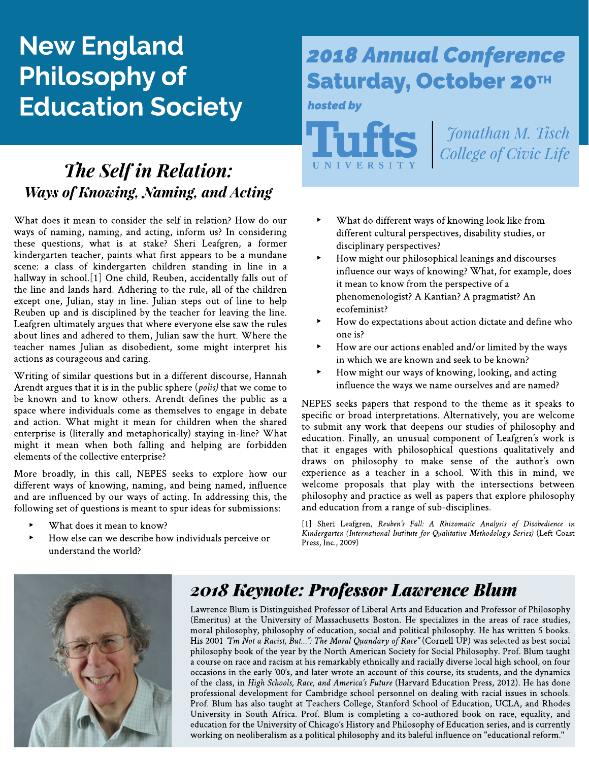# New England Philosophy of Education Society

### **The Self in Relation: Waysof Knowing, Naming, and Acting**

What does it mean to consider the self in relation? How do our ways of naming, naming, and acting, inform us? In considering these questions, what is at stake? Sheri Leafgren, a former kindergarten teacher, paints what first appears to be a mundane scene: a class of kindergarten children standing in line in a hallway in school.[1] One child, Reuben, accidentally falls out of the line and lands hard. Adhering to the rule, all of the children except one, Julian, stay in line. Julian steps out of line to help Reuben up and is disciplined by the teacher for leaving the line. Leafgren ultimately argues that where everyone else saw the rules about lines and adhered to them, Julian saw the hurt. Where the teacher names Julian as disobedient, some might interpret his actions as courageous and caring.

Writing of similar questions but in a different discourse, Hannah Arendt argues that it is in the public sphere (*polis*) that we come to be known and to know others. Arendt defines the public as a space where individuals come as themselves to engage in debate and action. What might it mean for children when the shared enterprise is (literally and metaphorically) staying in-line?What might it mean when both falling and helping are forbidden elements of the collective enterprise?

More broadly, in this call, NEPES seeks to explore how our different ways of knowing, naming, and being named, influence and are influenced by our ways of acting. In addressing this, the following set of questions is meant to spur ideas for submissions:

- What does it mean to know?
- How else can we describe how individuals perceive or understand the world?

## **2018 Annual Conference** Saturday, October 20TH

**hosted by**



**Jonathan M. Tisch Collegeof CivicLife**

- What do different ways of knowing look like from different cultural perspectives, disability studies, or disciplinary perspectives?
- How might our philosophical leanings and discourses influence our ways of knowing? What, for example, does it mean to know from the perspective of a phenomenologist?A Kantian?A pragmatist?An ecofeminist?
- How do expectations about action dictate and define who one is?
- How are our actions enabled and/or limited by the ways in which we are known and seek to be known?
- $\blacktriangleright$  How might our ways of knowing, looking, and acting influence the ways we name ourselves and are named?

NEPES seeks papers that respond to the theme as it speaks to specific or broad interpretations. Alternatively, you are welcome to submit any work that deepens our studies of philosophy and education. Finally, an unusual component of Leafgren's work is that it engages with philosophical questions qualitatively and draws on philosophy to make sense of the author?s own experience as a teacher in a school. With this in mind, we welcome proposals that play with the intersections between philosophy and practice as well as papers that explore philosophy and education from a range of sub-disciplines.

[1] Sheri Leafgren, **Reuben?s Fall: A Rhizomatic Analysis of Disobedience in Kindergarten (International Institutefor QualitativeMethodology Series)** (Left Coast Press, Inc., 2009)



### **2018 Keynote: Professor Lawrence Blum**

Lawrence Blum is Distinguished Professor of Liberal Arts and Education and Professor of Philosophy (Emeritus) at the University of Massachusetts Boston. He specializes in the areas of race studies, moral philosophy, philosophy of education, social and political philosophy. He has written 5 books. His 2001 *'T'm Not a Racist, But..."*: The Moral Quandary of Race" (Cornell UP) was selected as best social philosophy book of the year by the North American Society for Social Philosophy. Prof. Blum taught a course on race and racism at his remarkably ethnically and racially diverse local high school, on four occasions in the early '00's, and later wrote an account of this course, its students, and the dynamics of the class, in *High Schools, Race, and America's Future* (Harvard Education Press, 2012). He has done professional development for Cambridge school personnel on dealing with racial issues in schools. Prof. Blum has also taught at Teachers College, Stanford School of Education, UCLA, and Rhodes University in South Africa. Prof. Blum is completing a co-authored book on race, equality, and education for the University of Chicago's History and Philosophy of Education series, and is currently working on neoliberalism as a political philosophy and its baleful influence on "educational reform."